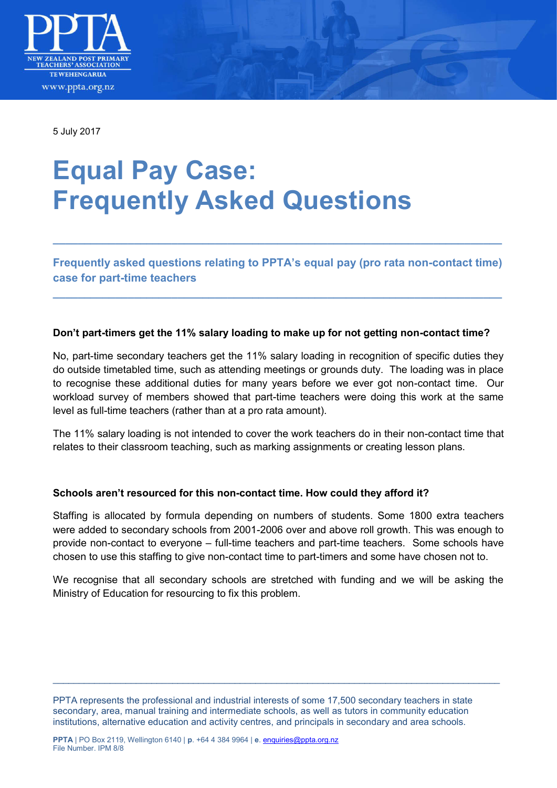

5 July 2017

# **Equal Pay Case: Frequently Asked Questions**

**Frequently asked questions relating to PPTA's equal pay (pro rata non-contact time) case for part-time teachers** 

**\_\_\_\_\_\_\_\_\_\_\_\_\_\_\_\_\_\_\_\_\_\_\_\_\_\_\_\_\_\_\_\_\_\_\_\_\_\_\_\_\_\_\_\_\_\_\_\_\_\_\_\_\_\_\_\_\_\_\_\_\_\_\_\_\_\_\_\_\_\_\_\_** 

**\_\_\_\_\_\_\_\_\_\_\_\_\_\_\_\_\_\_\_\_\_\_\_\_\_\_\_\_\_\_\_\_\_\_\_\_\_\_\_\_\_\_\_\_\_\_\_\_\_\_\_\_\_\_\_\_\_\_\_\_\_\_\_\_\_\_\_\_\_\_\_\_** 

## **Don't part-timers get the 11% salary loading to make up for not getting non-contact time?**

No, part-time secondary teachers get the 11% salary loading in recognition of specific duties they do outside timetabled time, such as attending meetings or grounds duty. The loading was in place to recognise these additional duties for many years before we ever got non-contact time. Our workload survey of members showed that part-time teachers were doing this work at the same level as full-time teachers (rather than at a pro rata amount).

The 11% salary loading is not intended to cover the work teachers do in their non-contact time that relates to their classroom teaching, such as marking assignments or creating lesson plans.

## **Schools aren't resourced for this non-contact time. How could they afford it?**

Staffing is allocated by formula depending on numbers of students. Some 1800 extra teachers were added to secondary schools from 2001-2006 over and above roll growth. This was enough to provide non-contact to everyone – full-time teachers and part-time teachers. Some schools have chosen to use this staffing to give non-contact time to part-timers and some have chosen not to.

We recognise that all secondary schools are stretched with funding and we will be asking the Ministry of Education for resourcing to fix this problem.

\_\_\_\_\_\_\_\_\_\_\_\_\_\_\_\_\_\_\_\_\_\_\_\_\_\_\_\_\_\_\_\_\_\_\_\_\_\_\_\_\_\_\_\_\_\_\_\_\_\_\_\_\_\_\_\_\_\_\_\_\_\_\_\_\_\_\_\_\_\_\_\_\_\_\_\_\_\_\_\_\_\_\_\_\_\_

PPTA represents the professional and industrial interests of some 17,500 secondary teachers in state secondary, area, manual training and intermediate schools, as well as tutors in community education institutions, alternative education and activity centres, and principals in secondary and area schools.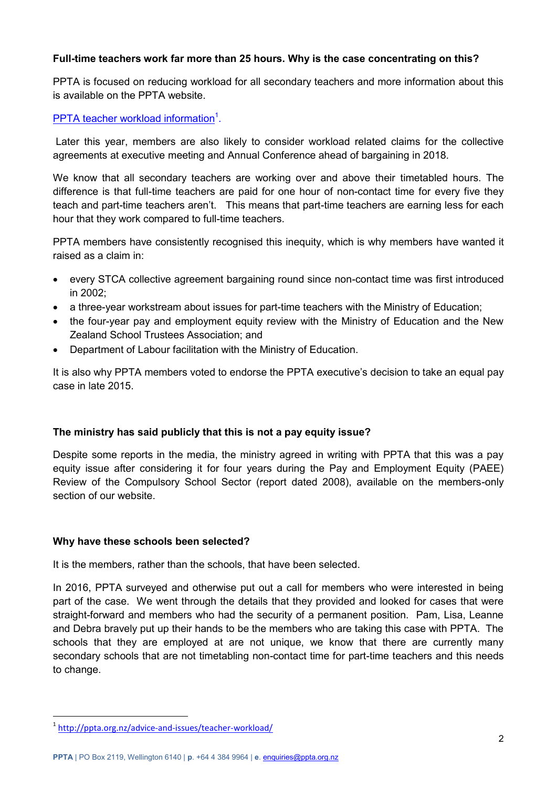## **Full-time teachers work far more than 25 hours. Why is the case concentrating on this?**

PPTA is focused on reducing workload for all secondary teachers and more information about this is available on the PPTA website.

## [PPTA teacher workload information](http://ppta.org.nz/advice-and-issues/teacher-workload/)<sup>1</sup>.

 Later this year, members are also likely to consider workload related claims for the collective agreements at executive meeting and Annual Conference ahead of bargaining in 2018.

We know that all secondary teachers are working over and above their timetabled hours. The difference is that full-time teachers are paid for one hour of non-contact time for every five they teach and part-time teachers aren't. This means that part-time teachers are earning less for each hour that they work compared to full-time teachers.

PPTA members have consistently recognised this inequity, which is why members have wanted it raised as a claim in:

- every STCA collective agreement bargaining round since non-contact time was first introduced in 2002;
- a three-year workstream about issues for part-time teachers with the Ministry of Education;
- the four-year pay and employment equity review with the Ministry of Education and the New Zealand School Trustees Association; and
- Department of Labour facilitation with the Ministry of Education.

It is also why PPTA members voted to endorse the PPTA executive's decision to take an equal pay case in late 2015.

## **The ministry has said publicly that this is not a pay equity issue?**

Despite some reports in the media, the ministry agreed in writing with PPTA that this was a pay equity issue after considering it for four years during the Pay and Employment Equity (PAEE) Review of the Compulsory School Sector (report dated 2008), available on the members-only section of our website.

## **Why have these schools been selected?**

It is the members, rather than the schools, that have been selected.

In 2016, PPTA surveyed and otherwise put out a call for members who were interested in being part of the case. We went through the details that they provided and looked for cases that were straight-forward and members who had the security of a permanent position. Pam, Lisa, Leanne and Debra bravely put up their hands to be the members who are taking this case with PPTA. The schools that they are employed at are not unique, we know that there are currently many secondary schools that are not timetabling non-contact time for part-time teachers and this needs to change.

-

<sup>1</sup> <http://ppta.org.nz/advice-and-issues/teacher-workload/>